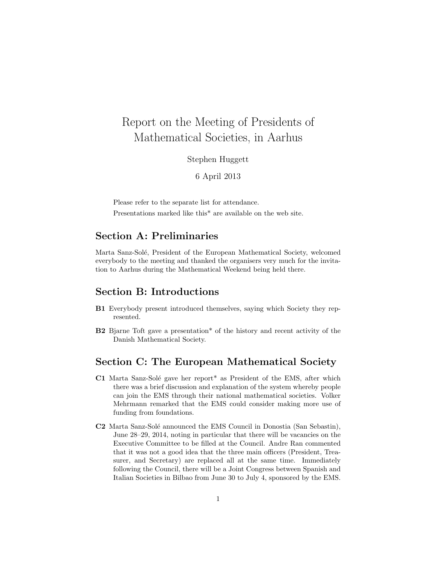# Report on the Meeting of Presidents of Mathematical Societies, in Aarhus

Stephen Huggett

6 April 2013

Please refer to the separate list for attendance.

Presentations marked like this\* are available on the web site.

## Section A: Preliminaries

Marta Sanz-Solé, President of the European Mathematical Society, welcomed everybody to the meeting and thanked the organisers very much for the invitation to Aarhus during the Mathematical Weekend being held there.

### Section B: Introductions

- B1 Everybody present introduced themselves, saying which Society they represented.
- B2 Bjarne Toft gave a presentation\* of the history and recent activity of the Danish Mathematical Society.

### Section C: The European Mathematical Society

- C1 Marta Sanz-Solé gave her report<sup>\*</sup> as President of the EMS, after which there was a brief discussion and explanation of the system whereby people can join the EMS through their national mathematical societies. Volker Mehrmann remarked that the EMS could consider making more use of funding from foundations.
- C2 Marta Sanz-Solé announced the EMS Council in Donostia (San Sebastin), June 28–29, 2014, noting in particular that there will be vacancies on the Executive Committee to be filled at the Council. Andre Ran commented that it was not a good idea that the three main officers (President, Treasurer, and Secretary) are replaced all at the same time. Immediately following the Council, there will be a Joint Congress between Spanish and Italian Societies in Bilbao from June 30 to July 4, sponsored by the EMS.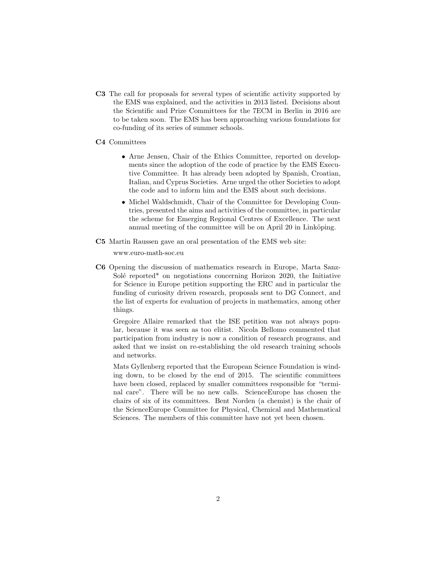C3 The call for proposals for several types of scientific activity supported by the EMS was explained, and the activities in 2013 listed. Decisions about the Scientific and Prize Committees for the 7ECM in Berlin in 2016 are to be taken soon. The EMS has been approaching various foundations for co-funding of its series of summer schools.

#### C4 Committees

- Arne Jensen, Chair of the Ethics Committee, reported on developments since the adoption of the code of practice by the EMS Executive Committee. It has already been adopted by Spanish, Croatian, Italian, and Cyprus Societies. Arne urged the other Societies to adopt the code and to inform him and the EMS about such decisions.
- Michel Waldschmidt, Chair of the Committee for Developing Countries, presented the aims and activities of the committee, in particular the scheme for Emerging Regional Centres of Excellence. The next annual meeting of the committee will be on April 20 in Linköping.
- C5 Martin Raussen gave an oral presentation of the EMS web site:

www.euro-math-soc.eu

C6 Opening the discussion of mathematics research in Europe, Marta Sanz-Solé reported<sup>\*</sup> on negotiations concerning Horizon 2020, the Initiative for Science in Europe petition supporting the ERC and in particular the funding of curiosity driven research, proposals sent to DG Connect, and the list of experts for evaluation of projects in mathematics, among other things.

Gregoire Allaire remarked that the ISE petition was not always popular, because it was seen as too elitist. Nicola Bellomo commented that participation from industry is now a condition of research programs, and asked that we insist on re-establishing the old research training schools and networks.

Mats Gyllenberg reported that the European Science Foundation is winding down, to be closed by the end of 2015. The scientific committees have been closed, replaced by smaller committees responsible for "terminal care". There will be no new calls. ScienceEurope has chosen the chairs of six of its committees. Bent Norden (a chemist) is the chair of the ScienceEurope Committee for Physical, Chemical and Mathematical Sciences. The members of this committee have not yet been chosen.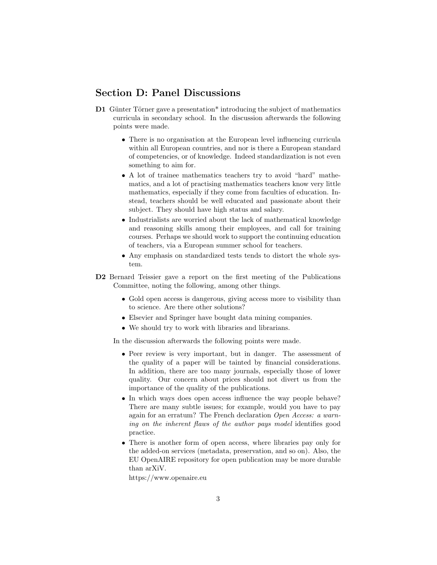### Section D: Panel Discussions

- D1 Günter Törner gave a presentation\* introducing the subject of mathematics curricula in secondary school. In the discussion afterwards the following points were made.
	- There is no organisation at the European level influencing curricula within all European countries, and nor is there a European standard of competencies, or of knowledge. Indeed standardization is not even something to aim for.
	- A lot of trainee mathematics teachers try to avoid "hard" mathematics, and a lot of practising mathematics teachers know very little mathematics, especially if they come from faculties of education. Instead, teachers should be well educated and passionate about their subject. They should have high status and salary.
	- Industrialists are worried about the lack of mathematical knowledge and reasoning skills among their employees, and call for training courses. Perhaps we should work to support the continuing education of teachers, via a European summer school for teachers.
	- Any emphasis on standardized tests tends to distort the whole system.
- D2 Bernard Teissier gave a report on the first meeting of the Publications Committee, noting the following, among other things.
	- Gold open access is dangerous, giving access more to visibility than to science. Are there other solutions?
	- Elsevier and Springer have bought data mining companies.
	- We should try to work with libraries and librarians.

In the discussion afterwards the following points were made.

- Peer review is very important, but in danger. The assessment of the quality of a paper will be tainted by financial considerations. In addition, there are too many journals, especially those of lower quality. Our concern about prices should not divert us from the importance of the quality of the publications.
- In which ways does open access influence the way people behave? There are many subtle issues; for example, would you have to pay again for an erratum? The French declaration Open Access: a warning on the inherent flaws of the author pays model identifies good practice.
- There is another form of open access, where libraries pay only for the added-on services (metadata, preservation, and so on). Also, the EU OpenAIRE repository for open publication may be more durable than arXiV.

https://www.openaire.eu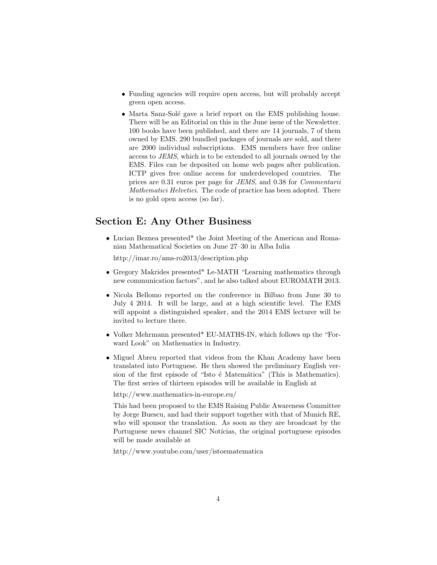- Funding agencies will require open access, but will probably accept green open access.
- Marta Sanz-Solé gave a brief report on the EMS publishing house. There will be an Editorial on this in the June issue of the Newsletter. 100 books have been published, and there are 14 journals, 7 of them owned by EMS. 290 bundled packages of journals are sold, and there are 2000 individual subscriptions. EMS members have free online access to JEMS, which is to be extended to all journals owned by the EMS. Files can be deposited on home web pages after publication. ICTP gives free online access for underdeveloped countries. The prices are 0.31 euros per page for JEMS, and 0.38 for Commentarii Mathematici Helvetici. The code of practice has been adopted. There is no gold open access (so far).

## Section E: Any Other Business

• Lucian Beznea presented\* the Joint Meeting of the American and Romanian Mathematical Societies on June 27–30 in Alba Iulia

http://imar.ro/ams-ro2013/description.php

- Gregory Makrides presented\* Le-MATH "Learning mathematics through new communication factors", and he also talked about EUROMATH 2013.
- Nicola Bellomo reported on the conference in Bilbao from June 30 to July 4 2014. It will be large, and at a high scientific level. The EMS will appoint a distinguished speaker, and the 2014 EMS lecturer will be invited to lecture there.
- Volker Mehrmann presented\* EU-MATHS-IN, which follows up the "Forward Look" on Mathematics in Industry.
- Miguel Abreu reported that videos from the Khan Academy have been translated into Portuguese. He then showed the preliminary English version of the first episode of "Isto é Matemática" (This is Mathematics). The first series of thirteen episodes will be available in English at

http://www.mathematics-in-europe.eu/

This had been proposed to the EMS Raising Public Awareness Committee by Jorge Buescu, and had their support together with that of Munich RE, who will sponsor the translation. As soon as they are broadcast by the Portuguese news channel SIC Notícias, the original portuguese episodes will be made available at

http://www.youtube.com/user/istoematematica